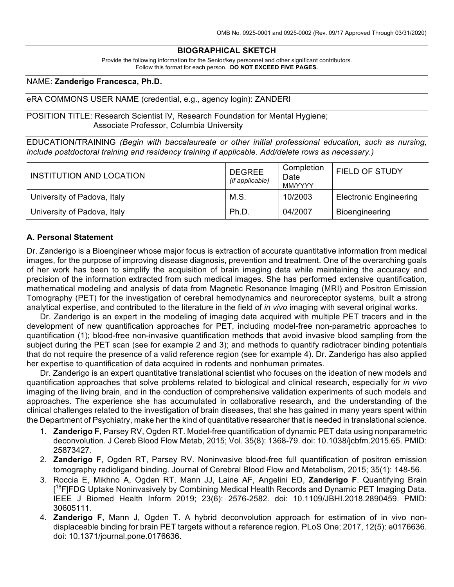#### **BIOGRAPHICAL SKETCH**

Provide the following information for the Senior/key personnel and other significant contributors. Follow this format for each person. **DO NOT EXCEED FIVE PAGES.**

#### NAME: **Zanderigo Francesca, Ph.D.**

#### eRA COMMONS USER NAME (credential, e.g., agency login): ZANDERI

POSITION TITLE: Research Scientist IV, Research Foundation for Mental Hygiene; Associate Professor, Columbia University

EDUCATION/TRAINING *(Begin with baccalaureate or other initial professional education, such as nursing, include postdoctoral training and residency training if applicable. Add/delete rows as necessary.)*

| INSTITUTION AND LOCATION    | <b>DEGREE</b><br>(if applicable) | Completion<br>Date<br><b>MM/YYYY</b> | <b>FIELD OF STUDY</b>         |
|-----------------------------|----------------------------------|--------------------------------------|-------------------------------|
| University of Padova, Italy | M.S.                             | 10/2003                              | <b>Electronic Engineering</b> |
| University of Padova, Italy | Ph.D.                            | 04/2007                              | Bioengineering                |

### **A. Personal Statement**

Dr. Zanderigo is a Bioengineer whose major focus is extraction of accurate quantitative information from medical images, for the purpose of improving disease diagnosis, prevention and treatment. One of the overarching goals of her work has been to simplify the acquisition of brain imaging data while maintaining the accuracy and precision of the information extracted from such medical images. She has performed extensive quantification, mathematical modeling and analysis of data from Magnetic Resonance Imaging (MRI) and Positron Emission Tomography (PET) for the investigation of cerebral hemodynamics and neuroreceptor systems, built a strong analytical expertise, and contributed to the literature in the field of *in vivo* imaging with several original works.

Dr. Zanderigo is an expert in the modeling of imaging data acquired with multiple PET tracers and in the development of new quantification approaches for PET, including model-free non-parametric approaches to quantification (1); blood-free non-invasive quantification methods that avoid invasive blood sampling from the subject during the PET scan (see for example 2 and 3); and methods to quantify radiotracer binding potentials that do not require the presence of a valid reference region (see for example 4). Dr. Zanderigo has also applied her expertise to quantification of data acquired in rodents and nonhuman primates.

Dr. Zanderigo is an expert quantitative translational scientist who focuses on the ideation of new models and quantification approaches that solve problems related to biological and clinical research, especially for *in vivo* imaging of the living brain, and in the conduction of comprehensive validation experiments of such models and approaches. The experience she has accumulated in collaborative research, and the understanding of the clinical challenges related to the investigation of brain diseases, that she has gained in many years spent within the Department of Psychiatry, make her the kind of quantitative researcher that is needed in translational science.

- 1. **Zanderigo F**, Parsey RV, Ogden RT. Model-free quantification of dynamic PET data using nonparametric deconvolution. J Cereb Blood Flow Metab, 2015; Vol. 35(8): 1368-79. doi: 10.1038/jcbfm.2015.65. PMID: 25873427.
- 2. **Zanderigo F**, Ogden RT, Parsey RV. Noninvasive blood-free full quantification of positron emission tomography radioligand binding. Journal of Cerebral Blood Flow and Metabolism, 2015; 35(1): 148-56.
- 3. Roccia E, Mikhno A, Ogden RT, Mann JJ, Laine AF, Angelini ED, **Zanderigo F**. Quantifying Brain [<sup>18</sup>F]FDG Uptake Noninvasively by Combining Medical Health Records and Dynamic PET Imaging Data. IEEE J Biomed Health Inform 2019; 23(6): 2576-2582. doi: 10.1109/JBHI.2018.2890459. PMID: 30605111.
- 4. **Zanderigo F**, Mann J, Ogden T. A hybrid deconvolution approach for estimation of in vivo nondisplaceable binding for brain PET targets without a reference region. PLoS One; 2017, 12(5): e0176636. doi: 10.1371/journal.pone.0176636.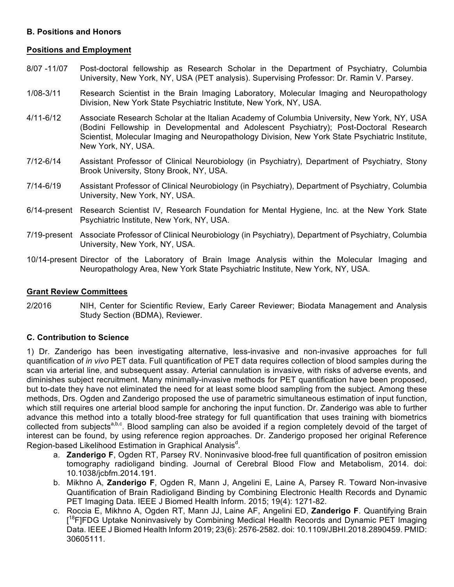### **B. Positions and Honors**

### **Positions and Employment**

- 8/07 -11/07 Post-doctoral fellowship as Research Scholar in the Department of Psychiatry, Columbia University, New York, NY, USA (PET analysis). Supervising Professor: Dr. Ramin V. Parsey.
- 1/08-3/11 Research Scientist in the Brain Imaging Laboratory, Molecular Imaging and Neuropathology Division, New York State Psychiatric Institute, New York, NY, USA.
- 4/11-6/12 Associate Research Scholar at the Italian Academy of Columbia University, New York, NY, USA (Bodini Fellowship in Developmental and Adolescent Psychiatry); Post-Doctoral Research Scientist, Molecular Imaging and Neuropathology Division, New York State Psychiatric Institute, New York, NY, USA.
- 7/12-6/14 Assistant Professor of Clinical Neurobiology (in Psychiatry), Department of Psychiatry, Stony Brook University, Stony Brook, NY, USA.
- 7/14-6/19 Assistant Professor of Clinical Neurobiology (in Psychiatry), Department of Psychiatry, Columbia University, New York, NY, USA.
- 6/14-present Research Scientist IV, Research Foundation for Mental Hygiene, Inc. at the New York State Psychiatric Institute, New York, NY, USA.
- 7/19-present Associate Professor of Clinical Neurobiology (in Psychiatry), Department of Psychiatry, Columbia University, New York, NY, USA.
- 10/14-present Director of the Laboratory of Brain Image Analysis within the Molecular Imaging and Neuropathology Area, New York State Psychiatric Institute, New York, NY, USA.

### **Grant Review Committees**

2/2016 NIH, Center for Scientific Review, Early Career Reviewer; Biodata Management and Analysis Study Section (BDMA), Reviewer.

## **C. Contribution to Science**

1) Dr. Zanderigo has been investigating alternative, less-invasive and non-invasive approaches for full quantification of *in vivo* PET data. Full quantification of PET data requires collection of blood samples during the scan via arterial line, and subsequent assay. Arterial cannulation is invasive, with risks of adverse events, and diminishes subject recruitment. Many minimally-invasive methods for PET quantification have been proposed, but to-date they have not eliminated the need for at least some blood sampling from the subject. Among these methods, Drs. Ogden and Zanderigo proposed the use of parametric simultaneous estimation of input function, which still requires one arterial blood sample for anchoring the input function. Dr. Zanderigo was able to further advance this method into a totally blood-free strategy for full quantification that uses training with biometrics collected from subjects<sup>a,b,c</sup>. Blood sampling can also be avoided if a region completely devoid of the target of interest can be found, by using reference region approaches. Dr. Zanderigo proposed her original Reference Region-based Likelihood Estimation in Graphical Analysis<sup>d</sup>.

- a. **Zanderigo F**, Ogden RT, Parsey RV. Noninvasive blood-free full quantification of positron emission tomography radioligand binding. Journal of Cerebral Blood Flow and Metabolism, 2014. doi: 10.1038/jcbfm.2014.191.
- b. Mikhno A, **Zanderigo F**, Ogden R, Mann J, Angelini E, Laine A, Parsey R. Toward Non-invasive Quantification of Brain Radioligand Binding by Combining Electronic Health Records and Dynamic PET Imaging Data. IEEE J Biomed Health Inform. 2015; 19(4): 1271-82.
- c. Roccia E, Mikhno A, Ogden RT, Mann JJ, Laine AF, Angelini ED, **Zanderigo F**. Quantifying Brain [<sup>18</sup>F]FDG Uptake Noninvasively by Combining Medical Health Records and Dynamic PET Imaging Data. IEEE J Biomed Health Inform 2019; 23(6): 2576-2582. doi: 10.1109/JBHI.2018.2890459. PMID: 30605111.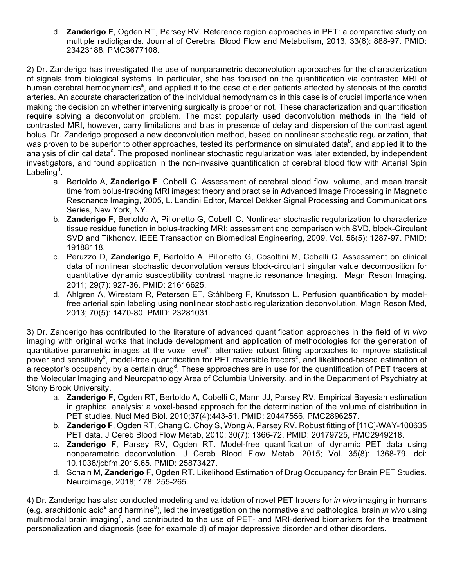d. **Zanderigo F**, Ogden RT, Parsey RV. Reference region approaches in PET: a comparative study on multiple radioligands. Journal of Cerebral Blood Flow and Metabolism, 2013, 33(6): 888-97. PMID: 23423188, PMC3677108.

2) Dr. Zanderigo has investigated the use of nonparametric deconvolution approaches for the characterization of signals from biological systems. In particular, she has focused on the quantification via contrasted MRI of human cerebral hemodynamics<sup>a</sup>, and applied it to the case of elder patients affected by stenosis of the carotid arteries. An accurate characterization of the individual hemodynamics in this case is of crucial importance when making the decision on whether intervening surgically is proper or not. These characterization and quantification require solving a deconvolution problem. The most popularly used deconvolution methods in the field of contrasted MRI, however, carry limitations and bias in presence of delay and dispersion of the contrast agent bolus. Dr. Zanderigo proposed a new deconvolution method, based on nonlinear stochastic regularization, that was proven to be superior to other approaches, tested its performance on simulated data<sup>b</sup>, and applied it to the analysis of clinical data<sup>c</sup>. The proposed nonlinear stochastic regularization was later extended, by independent investigators, and found application in the non-invasive quantification of cerebral blood flow with Arterial Spin Labeling<sup>d</sup>.

- a. Bertoldo A, **Zanderigo F**, Cobelli C. Assessment of cerebral blood flow, volume, and mean transit time from bolus-tracking MRI images: theory and practise in Advanced Image Processing in Magnetic Resonance Imaging, 2005, L. Landini Editor, Marcel Dekker Signal Processing and Communications Series, New York, NY.
- b. **Zanderigo F**, Bertoldo A, Pillonetto G, Cobelli C. Nonlinear stochastic regularization to characterize tissue residue function in bolus-tracking MRI: assessment and comparison with SVD, block-Circulant SVD and Tikhonov. IEEE Transaction on Biomedical Engineering, 2009, Vol. 56(5): 1287-97. PMID: 19188118.
- c. Peruzzo D, **Zanderigo F**, Bertoldo A, Pillonetto G, Cosottini M, Cobelli C. Assessment on clinical data of nonlinear stochastic deconvolution versus block-circulant singular value decomposition for quantitative dynamic susceptibility contrast magnetic resonance Imaging. Magn Reson Imaging. 2011; 29(7): 927-36. PMID: 21616625.
- d. Ahlgren A, Wirestam R, Petersen ET, Ståhlberg F, Knutsson L. Perfusion quantification by modelfree arterial spin labeling using nonlinear stochastic regularization deconvolution. Magn Reson Med, 2013; 70(5): 1470-80. PMID: 23281031.

3) Dr. Zanderigo has contributed to the literature of advanced quantification approaches in the field of *in vivo* imaging with original works that include development and application of methodologies for the generation of quantitative parametric images at the voxel level<sup>a</sup>, alternative robust fitting approaches to improve statistical power and sensitivity<sup>b</sup>, model-free quantification for PET reversible tracers<sup>c</sup>, and likelihood-based estimation of a receptor's occupancy by a certain drug<sup>d</sup>. These approaches are in use for the quantification of PET tracers at the Molecular Imaging and Neuropathology Area of Columbia University, and in the Department of Psychiatry at Stony Brook University.

- a. **Zanderigo F**, Ogden RT, Bertoldo A, Cobelli C, Mann JJ, Parsey RV. Empirical Bayesian estimation in graphical analysis: a voxel-based approach for the determination of the volume of distribution in PET studies. Nucl Med Biol. 2010;37(4):443-51. PMID: 20447556, PMC2896257.
- b. **Zanderigo F**, Ogden RT, Chang C, Choy S, Wong A, Parsey RV. Robust fitting of [11C]-WAY-100635 PET data. J Cereb Blood Flow Metab, 2010; 30(7): 1366-72. PMID: 20179725, PMC2949218.
- c. **Zanderigo F**, Parsey RV, Ogden RT. Model-free quantification of dynamic PET data using nonparametric deconvolution. J Cereb Blood Flow Metab, 2015; Vol. 35(8): 1368-79. doi: 10.1038/jcbfm.2015.65. PMID: 25873427.
- d. Schain M, **Zanderigo** F, Ogden RT. Likelihood Estimation of Drug Occupancy for Brain PET Studies. Neuroimage, 2018; 178: 255-265.

4) Dr. Zanderigo has also conducted modeling and validation of novel PET tracers for *in vivo* imaging in humans (e.g. arachidonic acid<sup>a</sup> and harmine<sup>b</sup>), led the investigation on the normative and pathological brain *in vivo* using multimodal brain imaging<sup>c</sup>, and contributed to the use of PET- and MRI-derived biomarkers for the treatment personalization and diagnosis (see for example d) of major depressive disorder and other disorders.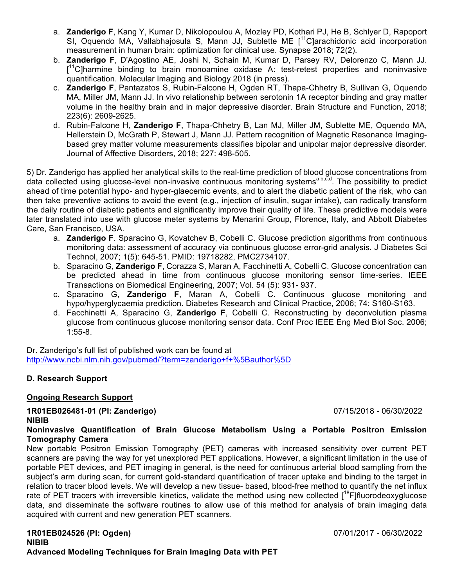- a. **Zanderigo F**, Kang Y, Kumar D, Nikolopoulou A, Mozley PD, Kothari PJ, He B, Schlyer D, Rapoport SI, Oquendo MA, Vallabhajosula S, Mann JJ, Sublette ME [<sup>11</sup>C]arachidonic acid incorporation measurement in human brain: optimization for clinical use. Synapse 2018; 72(2).
- b. **Zanderigo F**, D'Agostino AE, Joshi N, Schain M, Kumar D, Parsey RV, Delorenzo C, Mann JJ. [<sup>11</sup>C]harmine binding to brain monoamine oxidase A: test-retest properties and noninvasive quantification. Molecular Imaging and Biology 2018 (in press).
- c. **Zanderigo F**, Pantazatos S, Rubin-Falcone H, Ogden RT, Thapa-Chhetry B, Sullivan G, Oquendo MA, Miller JM, Mann JJ. In vivo relationship between serotonin 1A receptor binding and gray matter volume in the healthy brain and in major depressive disorder. Brain Structure and Function, 2018; 223(6): 2609-2625.
- d. Rubin-Falcone H, **Zanderigo F**, Thapa-Chhetry B, Lan MJ, Miller JM, Sublette ME, Oquendo MA, Hellerstein D, McGrath P, Stewart J, Mann JJ. Pattern recognition of Magnetic Resonance Imagingbased grey matter volume measurements classifies bipolar and unipolar major depressive disorder. Journal of Affective Disorders, 2018; 227: 498-505.

5) Dr. Zanderigo has applied her analytical skills to the real-time prediction of blood glucose concentrations from data collected using glucose-level non-invasive continuous monitoring systems<sup>a,b,c,d</sup>. The possibility to predict ahead of time potential hypo- and hyper-glaecemic events, and to alert the diabetic patient of the risk, who can then take preventive actions to avoid the event (e.g., injection of insulin, sugar intake), can radically transform the daily routine of diabetic patients and significantly improve their quality of life. These predictive models were later translated into use with glucose meter systems by Menarini Group, Florence, Italy, and Abbott Diabetes Care, San Francisco, USA.

- a. **Zanderigo F**. Sparacino G, Kovatchev B, Cobelli C. Glucose prediction algorithms from continuous monitoring data: assessment of accuracy via continuous glucose error-grid analysis. J Diabetes Sci Technol, 2007; 1(5): 645-51. PMID: 19718282, PMC2734107.
- b. Sparacino G, **Zanderigo F**, Corazza S, Maran A, Facchinetti A, Cobelli C. Glucose concentration can be predicted ahead in time from continuous glucose monitoring sensor time-series. IEEE Transactions on Biomedical Engineering, 2007; Vol. 54 (5): 931- 937.
- c. Sparacino G, **Zanderigo F**, Maran A, Cobelli C. Continuous glucose monitoring and hypo/hyperglycaemia prediction. Diabetes Research and Clinical Practice, 2006; 74: S160-S163.
- d. Facchinetti A, Sparacino G, **Zanderigo F**, Cobelli C. Reconstructing by deconvolution plasma glucose from continuous glucose monitoring sensor data. Conf Proc IEEE Eng Med Biol Soc. 2006; 1:55-8.

Dr. Zanderigo's full list of published work can be found at http://www.ncbi.nlm.nih.gov/pubmed/?term=zanderigo+f+%5Bauthor%5D

## **D. Research Support**

## **Ongoing Research Support**

## **1R01EB026481-01 (PI: Zanderigo)** 07/15/2018 - 06/30/2022 **NIBIB**

**Noninvasive Quantification of Brain Glucose Metabolism Using a Portable Positron Emission Tomography Camera**

New portable Positron Emission Tomography (PET) cameras with increased sensitivity over current PET scanners are paving the way for yet unexplored PET applications. However, a significant limitation in the use of portable PET devices, and PET imaging in general, is the need for continuous arterial blood sampling from the subject's arm during scan, for current gold-standard quantification of tracer uptake and binding to the target in relation to tracer blood levels. We will develop a new tissue- based, blood-free method to quantify the net influx rate of PET tracers with irreversible kinetics, validate the method using new collected [<sup>18</sup>F]fluorodeoxyglucose data, and disseminate the software routines to allow use of this method for analysis of brain imaging data acquired with current and new generation PET scanners.